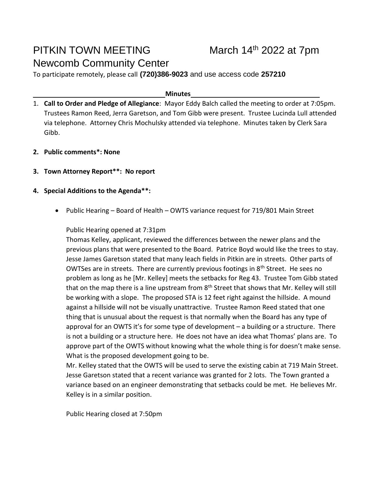# PITKIN TOWN MEETING Newcomb Community Center

To participate remotely, please call **(720)386-9023** and use access code **257210**

#### **Minutes**

- 1. **Call to Order and Pledge of Allegiance**: Mayor Eddy Balch called the meeting to order at 7:05pm. Trustees Ramon Reed, Jerra Garetson, and Tom Gibb were present. Trustee Lucinda Lull attended via telephone. Attorney Chris Mochulsky attended via telephone. Minutes taken by Clerk Sara Gibb.
- **2. Public comments\*: None**
- **3. Town Attorney Report\*\*: No report**
- **4. Special Additions to the Agenda\*\*:**
	- Public Hearing Board of Health OWTS variance request for 719/801 Main Street

Public Hearing opened at 7:31pm

Thomas Kelley, applicant, reviewed the differences between the newer plans and the previous plans that were presented to the Board. Patrice Boyd would like the trees to stay. Jesse James Garetson stated that many leach fields in Pitkin are in streets. Other parts of OWTSes are in streets. There are currently previous footings in  $8<sup>th</sup>$  Street. He sees no problem as long as he [Mr. Kelley] meets the setbacks for Reg 43. Trustee Tom Gibb stated that on the map there is a line upstream from  $8<sup>th</sup>$  Street that shows that Mr. Kelley will still be working with a slope. The proposed STA is 12 feet right against the hillside. A mound against a hillside will not be visually unattractive. Trustee Ramon Reed stated that one thing that is unusual about the request is that normally when the Board has any type of approval for an OWTS it's for some type of development – a building or a structure. There is not a building or a structure here. He does not have an idea what Thomas' plans are. To approve part of the OWTS without knowing what the whole thing is for doesn't make sense. What is the proposed development going to be.

Mr. Kelley stated that the OWTS will be used to serve the existing cabin at 719 Main Street. Jesse Garetson stated that a recent variance was granted for 2 lots. The Town granted a variance based on an engineer demonstrating that setbacks could be met. He believes Mr. Kelley is in a similar position.

Public Hearing closed at 7:50pm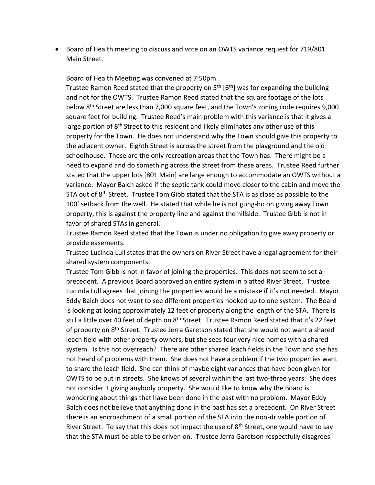• Board of Health meeting to discuss and vote on an OWTS variance request for 719/801 Main Street.

Board of Health Meeting was convened at 7:50pm

Trustee Ramon Reed stated that the property on  $5<sup>th</sup>$  [6<sup>th</sup>] was for expanding the building and not for the OWTS. Trustee Ramon Reed stated that the square footage of the lots below 8<sup>th</sup> Street are less than 7,000 square feet, and the Town's zoning code requires 9,000 square feet for building. Trustee Reed's main problem with this variance is that it gives a large portion of 8<sup>th</sup> Street to this resident and likely eliminates any other use of this property for the Town. He does not understand why the Town should give this property to the adjacent owner. Eighth Street is across the street from the playground and the old schoolhouse. These are the only recreation areas that the Town has. There might be a need to expand and do something across the street from these areas. Trustee Reed further stated that the upper lots [801 Main] are large enough to accommodate an OWTS without a variance. Mayor Balch asked if the septic tank could move closer to the cabin and move the STA out of 8<sup>th</sup> Street. Trustee Tom Gibb stated that the STA is as close as possible to the 100' setback from the well. He stated that while he is not gung-ho on giving away Town property, this is against the property line and against the hillside. Trustee Gibb is not in favor of shared STAs in general.

Trustee Ramon Reed stated that the Town is under no obligation to give away property or provide easements.

Trustee Lucinda Lull states that the owners on River Street have a legal agreement for their shared system components.

Trustee Tom Gibb is not in favor of joining the properties. This does not seem to set a precedent. A previous Board approved an entire system in platted River Street. Trustee Lucinda Lull agrees that joining the properties would be a mistake if it's not needed. Mayor Eddy Balch does not want to see different properties hooked up to one system. The Board is looking at losing approximately 12 feet of property along the length of the STA. There is still a little over 40 feet of depth on 8<sup>th</sup> Street. Trustee Ramon Reed stated that it's 22 feet of property on 8<sup>th</sup> Street. Trustee Jerra Garetson stated that she would not want a shared leach field with other property owners, but she sees four very nice homes with a shared system. Is this not overreach? There are other shared leach fields in the Town and she has not heard of problems with them. She does not have a problem if the two properties want to share the leach field. She can think of maybe eight variances that have been given for OWTS to be put in streets. She knows of several within the last two-three years. She does not consider it giving anybody property. She would like to know why the Board is wondering about things that have been done in the past with no problem. Mayor Eddy Balch does not believe that anything done in the past has set a precedent. On River Street there is an encroachment of a small portion of the STA into the non-drivable portion of River Street. To say that this does not impact the use of  $8<sup>th</sup>$  Street, one would have to say that the STA must be able to be driven on. Trustee Jerra Garetson respectfully disagrees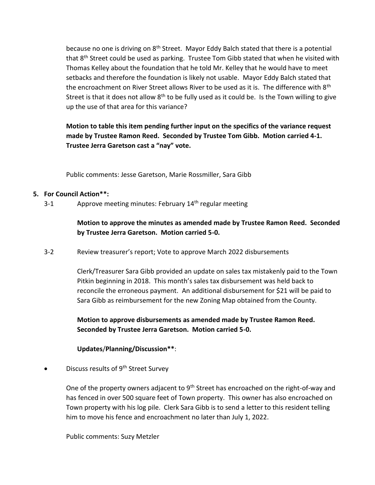because no one is driving on 8<sup>th</sup> Street. Mayor Eddy Balch stated that there is a potential that 8<sup>th</sup> Street could be used as parking. Trustee Tom Gibb stated that when he visited with Thomas Kelley about the foundation that he told Mr. Kelley that he would have to meet setbacks and therefore the foundation is likely not usable. Mayor Eddy Balch stated that the encroachment on River Street allows River to be used as it is. The difference with 8<sup>th</sup> Street is that it does not allow  $8<sup>th</sup>$  to be fully used as it could be. Is the Town willing to give up the use of that area for this variance?

**Motion to table this item pending further input on the specifics of the variance request made by Trustee Ramon Reed. Seconded by Trustee Tom Gibb. Motion carried 4-1. Trustee Jerra Garetson cast a "nay" vote.** 

Public comments: Jesse Garetson, Marie Rossmiller, Sara Gibb

### **5. For Council Action\*\*:**

3-1 Approve meeting minutes: February 14<sup>th</sup> regular meeting

**Motion to approve the minutes as amended made by Trustee Ramon Reed. Seconded by Trustee Jerra Garetson. Motion carried 5-0.**

3-2 Review treasurer's report; Vote to approve March 2022 disbursements

Clerk/Treasurer Sara Gibb provided an update on sales tax mistakenly paid to the Town Pitkin beginning in 2018. This month's sales tax disbursement was held back to reconcile the erroneous payment. An additional disbursement for \$21 will be paid to Sara Gibb as reimbursement for the new Zoning Map obtained from the County.

**Motion to approve disbursements as amended made by Trustee Ramon Reed. Seconded by Trustee Jerra Garetson. Motion carried 5-0.**

**Updates**/**Planning/Discussion\*\***:

Discuss results of 9<sup>th</sup> Street Survey

One of the property owners adjacent to  $9<sup>th</sup>$  Street has encroached on the right-of-way and has fenced in over 500 square feet of Town property. This owner has also encroached on Town property with his log pile. Clerk Sara Gibb is to send a letter to this resident telling him to move his fence and encroachment no later than July 1, 2022.

Public comments: Suzy Metzler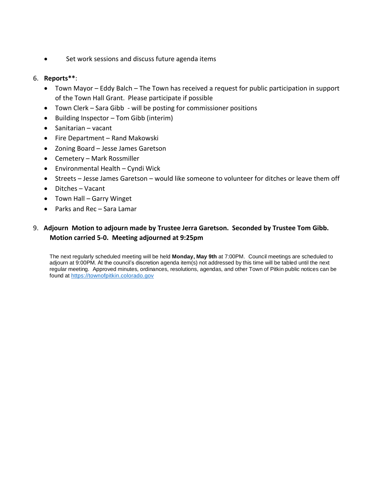• Set work sessions and discuss future agenda items

#### 6. **Reports\*\***:

- Town Mayor Eddy Balch The Town has received a request for public participation in support of the Town Hall Grant. Please participate if possible
- Town Clerk Sara Gibb will be posting for commissioner positions
- Building Inspector Tom Gibb (interim)
- Sanitarian vacant
- Fire Department Rand Makowski
- Zoning Board Jesse James Garetson
- Cemetery Mark Rossmiller
- Environmental Health Cyndi Wick
- Streets Jesse James Garetson would like someone to volunteer for ditches or leave them off
- Ditches Vacant
- Town Hall Garry Winget
- Parks and Rec Sara Lamar

### 9. **Adjourn Motion to adjourn made by Trustee Jerra Garetson. Seconded by Trustee Tom Gibb. Motion carried 5-0. Meeting adjourned at 9:25pm**

The next regularly scheduled meeting will be held **Monday, May 9th** at 7:00PM. Council meetings are scheduled to adjourn at 9:00PM. At the council's discretion agenda item(s) not addressed by this time will be tabled until the next regular meeting. Approved minutes, ordinances, resolutions, agendas, and other Town of Pitkin public notices can be found at [https://townofpitkin.colorado.gov](https://townofpitkin.colorado.gov/)